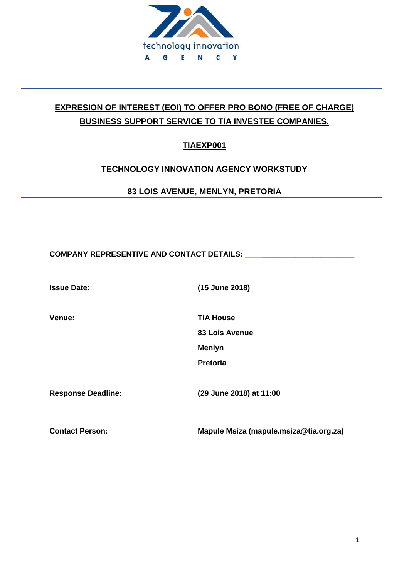

# **EXPRESION OF INTEREST (EOI) TO OFFER PRO BONO (FREE OF CHARGE) BUSINESS SUPPORT SERVICE TO TIA INVESTEE COMPANIES.**

**TIAEXP001**

### **TECHNOLOGY INNOVATION AGENCY WORKSTUDY**

**83 LOIS AVENUE, MENLYN, PRETORIA**

COMPANY REPRESENTIVE AND CONTACT DETAILS: **We are also assessed to the contract of the contract of the contract of the contract of the contract of the contract of the contract of the contract of the contract of the contrac** 

**Issue Date: (15 June 2018)**

**Venue: TIA House**

**83 Lois Avenue**

**Menlyn**

**Pretoria**

**Response Deadline: (29 June 2018) at 11:00**

**Contact Person: Mapule Msiza (mapule.msiza@tia.org.za)**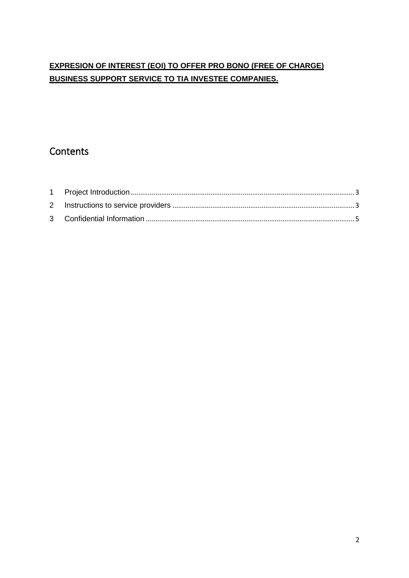### **EXPRESION OF INTEREST (EOI) TO OFFER PRO BONO (FREE OF CHARGE) BUSINESS SUPPORT SERVICE TO TIA INVESTEE COMPANIES.**

# **Contents**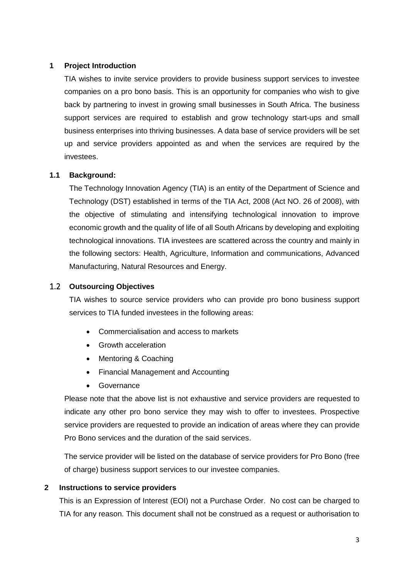#### <span id="page-2-0"></span>**1 Project Introduction**

TIA wishes to invite service providers to provide business support services to investee companies on a pro bono basis. This is an opportunity for companies who wish to give back by partnering to invest in growing small businesses in South Africa. The business support services are required to establish and grow technology start-ups and small business enterprises into thriving businesses. A data base of service providers will be set up and service providers appointed as and when the services are required by the investees.

#### **1.1 Background:**

The Technology Innovation Agency (TIA) is an entity of the Department of Science and Technology (DST) established in terms of the TIA Act, 2008 (Act NO. 26 of 2008), with the objective of stimulating and intensifying technological innovation to improve economic growth and the quality of life of all South Africans by developing and exploiting technological innovations. TIA investees are scattered across the country and mainly in the following sectors: Health, Agriculture, Information and communications, Advanced Manufacturing, Natural Resources and Energy.

#### 1.2 **Outsourcing Objectives**

TIA wishes to source service providers who can provide pro bono business support services to TIA funded investees in the following areas:

- Commercialisation and access to markets
- Growth acceleration
- Mentoring & Coaching
- Financial Management and Accounting
- Governance

Please note that the above list is not exhaustive and service providers are requested to indicate any other pro bono service they may wish to offer to investees. Prospective service providers are requested to provide an indication of areas where they can provide Pro Bono services and the duration of the said services.

The service provider will be listed on the database of service providers for Pro Bono (free of charge) business support services to our investee companies.

#### <span id="page-2-1"></span>**2 Instructions to service providers**

This is an Expression of Interest (EOI) not a Purchase Order. No cost can be charged to TIA for any reason. This document shall not be construed as a request or authorisation to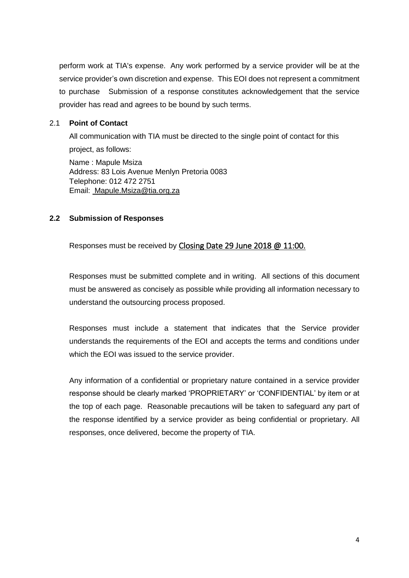perform work at TIA's expense. Any work performed by a service provider will be at the service provider's own discretion and expense. This EOI does not represent a commitment to purchase Submission of a response constitutes acknowledgement that the service provider has read and agrees to be bound by such terms.

#### 2.1 **Point of Contact**

All communication with TIA must be directed to the single point of contact for this project, as follows:

Name : Mapule Msiza Address: 83 Lois Avenue Menlyn Pretoria 0083 Telephone: 012 472 2751 Email: Mapule.Msiza@tia.org.za

#### **2.2 Submission of Responses**

Responses must be received by Closing Date 29 June 2018 @ 11:00.

Responses must be submitted complete and in writing. All sections of this document must be answered as concisely as possible while providing all information necessary to understand the outsourcing process proposed.

Responses must include a statement that indicates that the Service provider understands the requirements of the EOI and accepts the terms and conditions under which the EOI was issued to the service provider.

Any information of a confidential or proprietary nature contained in a service provider response should be clearly marked 'PROPRIETARY' or 'CONFIDENTIAL' by item or at the top of each page. Reasonable precautions will be taken to safeguard any part of the response identified by a service provider as being confidential or proprietary. All responses, once delivered, become the property of TIA.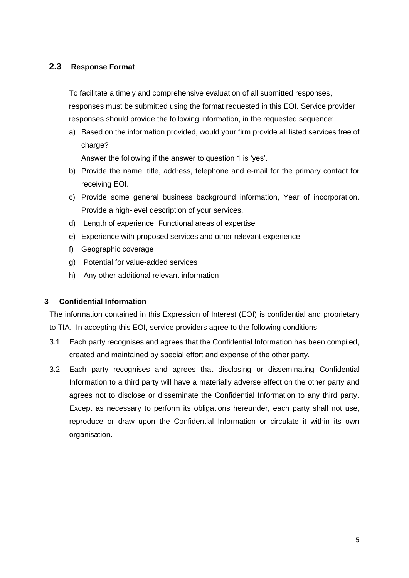#### **2.3 Response Format**

To facilitate a timely and comprehensive evaluation of all submitted responses,

responses must be submitted using the format requested in this EOI. Service provider responses should provide the following information, in the requested sequence:

a) Based on the information provided, would your firm provide all listed services free of charge?

Answer the following if the answer to question 1 is 'yes'.

- b) Provide the name, title, address, telephone and e-mail for the primary contact for receiving EOI.
- c) Provide some general business background information, Year of incorporation. Provide a high-level description of your services.
- d) Length of experience, Functional areas of expertise
- e) Experience with proposed services and other relevant experience
- f) Geographic coverage
- g) Potential for value-added services
- h) Any other additional relevant information

#### <span id="page-4-0"></span>**3 Confidential Information**

The information contained in this Expression of Interest (EOI) is confidential and proprietary to TIA. In accepting this EOI, service providers agree to the following conditions:

- 3.1 Each party recognises and agrees that the Confidential Information has been compiled, created and maintained by special effort and expense of the other party.
- 3.2 Each party recognises and agrees that disclosing or disseminating Confidential Information to a third party will have a materially adverse effect on the other party and agrees not to disclose or disseminate the Confidential Information to any third party. Except as necessary to perform its obligations hereunder, each party shall not use, reproduce or draw upon the Confidential Information or circulate it within its own organisation.